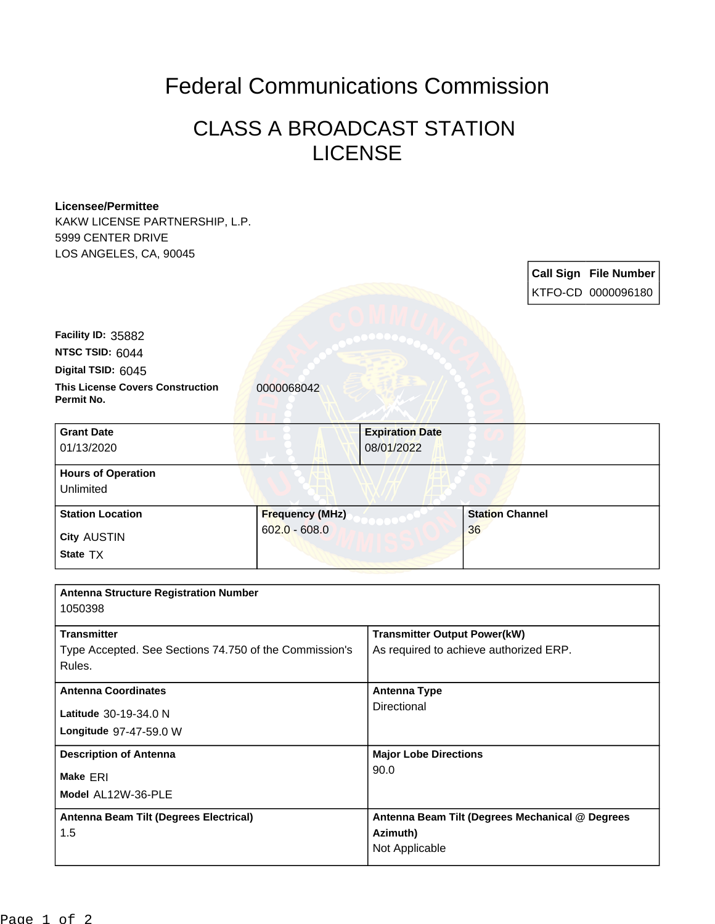## Federal Communications Commission

## CLASS A BROADCAST STATION LICENSE

## **Licensee/Permittee**

KAKW LICENSE PARTNERSHIP, L.P. 5999 CENTER DRIVE LOS ANGELES, CA, 90045

> **Call Sign File Number** KTFO-CD 0000096180

**This License Covers Construction** 0000068042 **Permit No. Digital TSID:** 6045 **NTSC TSID:** 6044 **Facility ID:** 35882

| <b>Grant Date</b><br>01/13/2020        | <b>Expiration Date</b><br>08/01/2022 |                        |
|----------------------------------------|--------------------------------------|------------------------|
| <b>Hours of Operation</b><br>Unlimited |                                      |                        |
| <b>Station Location</b>                | <b>Frequency (MHz)</b>               | <b>Station Channel</b> |
| <b>City AUSTIN</b><br>State TX         | $602.0 - 608.0$                      | 36                     |

| <b>Antenna Structure Registration Number</b>           |                                                 |
|--------------------------------------------------------|-------------------------------------------------|
| 1050398                                                |                                                 |
| <b>Transmitter</b>                                     | <b>Transmitter Output Power(kW)</b>             |
| Type Accepted. See Sections 74.750 of the Commission's | As required to achieve authorized ERP.          |
| Rules.                                                 |                                                 |
| <b>Antenna Coordinates</b>                             | Antenna Type                                    |
| <b>Latitude</b> 30-19-34.0 N                           | Directional                                     |
| Longitude 97-47-59.0 W                                 |                                                 |
| <b>Description of Antenna</b>                          | <b>Major Lobe Directions</b>                    |
| Make ERI                                               | 90.0                                            |
| Model AL12W-36-PLE                                     |                                                 |
| Antenna Beam Tilt (Degrees Electrical)                 | Antenna Beam Tilt (Degrees Mechanical @ Degrees |
| 1.5                                                    | Azimuth)                                        |
|                                                        | Not Applicable                                  |